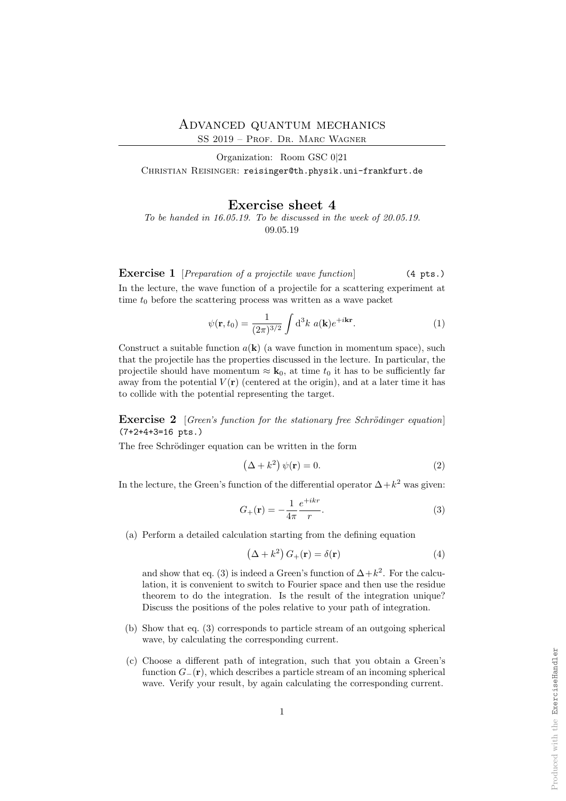SS 2019 – Prof. Dr. Marc Wagner

Organization: Room GSC 0|21 CHRISTIAN REISINGER: reisinger@th.physik.uni-frankfurt.de

## Exercise sheet 4

To be handed in 16.05.19. To be discussed in the week of 20.05.19. 09.05.19

**Exercise 1** [Preparation of a projectile wave function] (4 pts.)

In the lecture, the wave function of a projectile for a scattering experiment at time  $t_0$  before the scattering process was written as a wave packet

$$
\psi(\mathbf{r},t_0) = \frac{1}{(2\pi)^{3/2}} \int \mathrm{d}^3 k \ a(\mathbf{k}) e^{+i\mathbf{k}\mathbf{r}}.\tag{1}
$$

Construct a suitable function  $a(\mathbf{k})$  (a wave function in momentum space), such that the projectile has the properties discussed in the lecture. In particular, the projectile should have momentum  $\approx \mathbf{k}_0$ , at time  $t_0$  it has to be sufficiently far away from the potential  $V(\mathbf{r})$  (centered at the origin), and at a later time it has to collide with the potential representing the target.

**Exercise 2** [Green's function for the stationary free Schrödinger equation] (7+2+4+3=16 pts.)

The free Schrödinger equation can be written in the form

$$
(\Delta + k^2) \psi(\mathbf{r}) = 0.
$$
 (2)

In the lecture, the Green's function of the differential operator  $\Delta + k^2$  was given:

$$
G_{+}(\mathbf{r}) = -\frac{1}{4\pi} \frac{e^{+ikr}}{r}.
$$
 (3)

(a) Perform a detailed calculation starting from the defining equation

$$
\left(\Delta + k^2\right) G_+(\mathbf{r}) = \delta(\mathbf{r})\tag{4}
$$

and show that eq. (3) is indeed a Green's function of  $\Delta + k^2$ . For the calculation, it is convenient to switch to Fourier space and then use the residue theorem to do the integration. Is the result of the integration unique? Discuss the positions of the poles relative to your path of integration.

- (b) Show that eq. (3) corresponds to particle stream of an outgoing spherical wave, by calculating the corresponding current.
- (c) Choose a different path of integration, such that you obtain a Green's function  $G_{-}(\mathbf{r})$ , which describes a particle stream of an incoming spherical wave. Verify your result, by again calculating the corresponding current.